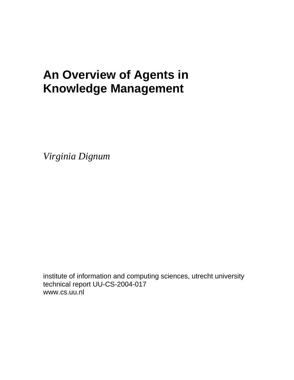# **An Overview of Agents in Knowledge Management**

*Virginia Dignum* 

institute of information and computing sciences, utrecht university technical report UU-CS-2004-017 www.cs.uu.nl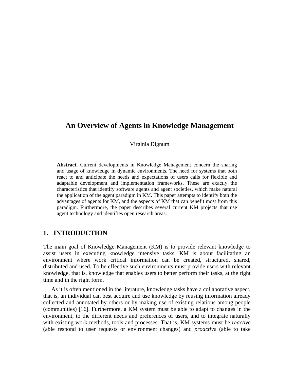# **An Overview of Agents in Knowledge Management**

Virginia Dignum

**Abstract.** Current developments in Knowledge Management concern the sharing and usage of knowledge in dynamic environments. The need for systems that both react to and anticipate the needs and expectations of users calls for flexible and adaptable development and implementation frameworks. These are exactly the characteristics that identify software agents and agent societies, which make natural the application of the agent paradigm in KM. This paper attempts to identify both the advantages of agents for KM, and the aspects of KM that can benefit most from this paradigm. Furthermore, the paper describes several current KM projects that use agent technology and identifies open research areas.

## **1. INTRODUCTION**

The main goal of Knowledge Management (KM) is to provide relevant knowledge to assist users in executing knowledge intensive tasks. KM is about facilitating an environment where work critical information can be created, structured, shared, distributed and used. To be effective such environments must provide users with relevant knowledge, that is, knowledge that enables users to better perform their tasks, at the right time and in the right form.

As it is often mentioned in the literature, knowledge tasks have a collaborative aspect, that is, an individual can best acquire and use knowledge by reusing information already collected and annotated by others or by making use of existing relations among people (communities) [16]. Furthermore, a KM system must be able to adapt to changes in the environment, to the different needs and preferences of users, and to integrate naturally with existing work methods, tools and processes. That is, KM systems must be *reactive* (able respond to user requests or environment changes) and *proactive* (able to take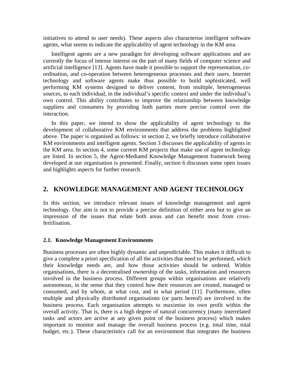initiatives to attend to user needs). These aspects also characterise intelligent software agents, what seems to indicate the applicability of agent technology in the KM area.

Intelligent agents are a new paradigm for developing software applications and are currently the focus of intense interest on the part of many fields of computer science and artificial intelligence [13]. Agents have made it possible to support the representation, coordination, and co-operation between heterogeneous processes and their users. Internet technology and software agents make thus possible to build sophisticated, well performing KM systems designed to deliver content, from multiple, heterogeneous sources, to each individual, in the individual's specific context and under the individual's own control. This ability contributes to improve the relationship between knowledge suppliers and consumers by providing both parties more precise control over the interaction.

In this paper, we intend to show the applicability of agent technology to the development of collaborative KM environments that address the problems highlighted above. The paper is organised as follows: in section 2, we briefly introduce collaborative KM environments and intelligent agents. Section 3 discusses the applicability of agents in the KM area. In section 4, some current KM projects that make use of agent technology are listed. In section 5, the Agent-Mediated Knowledge Management framework being developed at our organisation is presented. Finally, section 6 discusses some open issues and highlights aspects for further research.

## **2. KNOWLEDGE MANAGEMENT AND AGENT TECHNOLOGY**

In this section, we introduce relevant issues of knowledge management and agent technology. Our aim is not to provide a precise definition of either area but to give an impression of the issues that relate both areas and can benefit most from crossfertilisation.

## **2.1. Knowledge Management Environments**

Business processes are often highly dynamic and unpredictable. This makes it difficult to give a complete a priori specification of all the activities that need to be performed, which their knowledge needs are, and how those activities should be ordered. Within organisations, there is a decentralised ownership of the tasks, information and resources involved in the business process. Different groups within organisations are relatively autonomous, in the sense that they control how their resources are created, managed or consumed, and by whom, at what cost, and in what period [11]. Furthermore, often multiple and physically distributed organisations (or parts hereof) are involved in the business process. Each organisation attempts to maximise its own profit within the overall activity. That is, there is a high degree of natural concurrency (many interrelated tasks and actors are active at any given point of the business process) which makes important to monitor and manage the overall business process (e.g. total time, total budget, etc.). These characteristics call for an environment that integrates the business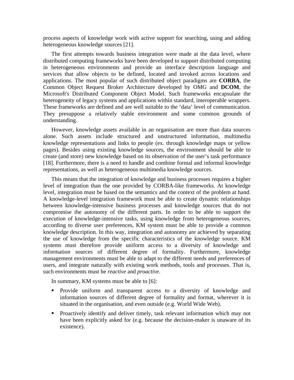process aspects of knowledge work with active support for searching, using and adding heterogeneous knowledge sources [21].

The first attempts towards business integration were made at the data level, where distributed computing frameworks have been developed to support distributed computing in heterogeneous environments and provide an interface description language and services that allow objects to be defined, located and invoked across locations and applications. The most popular of such distributed object paradigms are **CORBA**, the Common Object Request Broker Architecture developed by OMG and **DCOM**, the Microsoft's Distributed Component Object Model. Such frameworks encapsulate the heterogeneity of legacy systems and applications within standard, interoperable wrappers. These frameworks are defined and are well suitable to the 'data' level of communication. They presuppose a relatively stable environment and some common grounds of understanding.

However, knowledge assets available in an organisation are more than data sources alone. Such assets include structured and unstructured information, multimedia knowledge representations and links to people (ex. through knowledge maps or yellow pages). Besides using existing knowledge sources, the environment should be able to create (and store) new knowledge based on its observation of the user's task performance [18]. Furthermore, there is a need to handle and combine formal and informal knowledge representations, as well as heterogeneous multimedia knowledge sources.

This means that the integration of knowledge and business processes requires a higher level of integration than the one provided by CORBA-like frameworks. At knowledge level, integration must be based on the semantics and the context of the problem at hand. A knowledge-level integration framework must be able to create dynamic relationships between knowledge-intensive business processes and knowledge sources that do not compromise the autonomy of the different parts. In order to be able to support the execution of knowledge-intensive tasks, using knowledge from heterogeneous sources, according to diverse user preferences, KM system must be able to provide a common knowledge description. In this way, integration and autonomy are achieved by separating the use of knowledge from the specific characteristics of the knowledge source. KM systems must therefore provide uniform access to a diversity of knowledge and information sources of different degree of formality. Furthermore, knowledge management environments must be able to adapt to the different needs and preferences of users, and integrate naturally with existing work methods, tools and processes. That is, such environments must be *reactive* and *proactive*.

In summary, KM systems must be able to [6]:

- Provide uniform and transparent access to a diversity of knowledge and information sources of different degree of formality and format, wherever it is situated in the organisation, and even outside (e.g. World Wide Web).
- **Proactively identify and deliver timely, task relevant information which may not** have been explicitly asked for (e.g. because the decision-maker is unaware of its existence).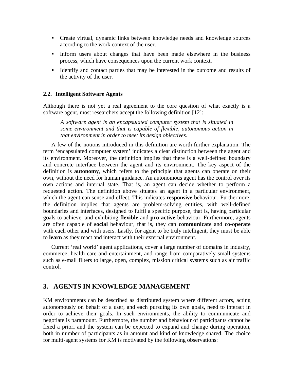- Create virtual, dynamic links between knowledge needs and knowledge sources according to the work context of the user.
- Inform users about changes that have been made elsewhere in the business process, which have consequences upon the current work context.
- Identify and contact parties that may be interested in the outcome and results of the activity of the user.

#### **2.2. Intelligent Software Agents**

Although there is not yet a real agreement to the core question of what exactly is a software agent, most researchers accept the following definition [12]:

*A software agent is an encapsulated computer system that is situated in some environment and that is capable of flexible, autonomous action in that environment in order to meet its design objectives.* 

A few of the notions introduced in this definition are worth further explanation. The term 'encapsulated computer system' indicates a clear distinction between the agent and its environment. Moreover, the definition implies that there is a well-defined boundary and concrete interface between the agent and its environment. The key aspect of the definition is **autonomy**, which refers to the principle that agents can operate on their own, without the need for human guidance. An autonomous agent has the control over its own actions and internal state. That is, an agent can decide whether to perform a requested action. The definition above situates an agent in a particular environment, which the agent can sense and effect. This indicates **responsive** behaviour. Furthermore, the definition implies that agents are problem-solving entities, with well-defined boundaries and interfaces, designed to fulfil a specific purpose, that is, having particular goals to achieve, and exhibiting **flexible** and **pro-active** behaviour. Furthermore, agents are often capable of **social** behaviour, that is, they can **communicate** and **co-operate** with each other and with users. Lastly, for agent to be truly intelligent, they must be able to **learn** as they react and interact with their external environment.

Current 'real world' agent applications, cover a large number of domains in industry, commerce, health care and entertainment, and range from comparatively small systems such as e-mail filters to large, open, complex, mission critical systems such as air traffic control.

## **3. AGENTS IN KNOWLEDGE MANAGEMENT**

KM environments can be described as distributed system where different actors, acting autonomously on behalf of a user, and each pursuing its own goals, need to interact in order to achieve their goals. In such environments, the ability to communicate and negotiate is paramount. Furthermore, the number and behaviour of participants cannot be fixed a priori and the system can be expected to expand and change during operation, both in number of participants as in amount and kind of knowledge shared. The choice for multi-agent systems for KM is motivated by the following observations: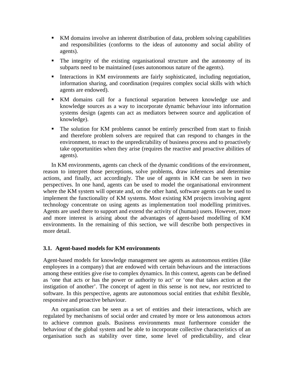- KM domains involve an inherent distribution of data, problem solving capabilities and responsibilities (conforms to the ideas of autonomy and social ability of agents).
- The integrity of the existing organisational structure and the autonomy of its subparts need to be maintained (uses autonomous nature of the agents).
- Interactions in KM environments are fairly sophisticated, including negotiation, information sharing, and coordination (requires complex social skills with which agents are endowed).
- KM domains call for a functional separation between knowledge use and knowledge sources as a way to incorporate dynamic behaviour into information systems design (agents can act as mediators between source and application of knowledge).
- The solution for KM problems cannot be entirely prescribed from start to finish and therefore problem solvers are required that can respond to changes in the environment, to react to the unpredictability of business process and to proactively take opportunities when they arise (requires the reactive and proactive abilities of agents).

In KM environments, agents can check of the dynamic conditions of the environment, reason to interpret those perceptions, solve problems, draw inferences and determine actions, and finally, act accordingly. The use of agents in KM can be seen in two perspectives. In one hand, agents can be used to model the organisational environment where the KM system will operate and, on the other hand, software agents can be used to implement the functionality of KM systems. Most existing KM projects involving agent technology concentrate on using agents as implementation tool modelling primitives. Agents are used there to support and extend the activity of (human) users. However, more and more interest is arising about the advantages of agent-based modelling of KM environments. In the remaining of this section, we will describe both perspectives in more detail.

#### **3.1. Agent-based models for KM environments**

Agent-based models for knowledge management see agents as autonomous entities (like employees in a company) that are endowed with certain behaviours and the interactions among these entities give rise to complex dynamics. In this context, agents can be defined as 'one that acts or has the power or authority to act' or 'one that takes action at the instigation of another'. The concept of agent in this sense is not new, nor restricted to software. In this perspective, agents are autonomous social entities that exhibit flexible, responsive and proactive behaviour.

An organisation can be seen as a set of entities and their interactions, which are regulated by mechanisms of social order and created by more or less autonomous actors to achieve common goals. Business environments must furthermore consider the behaviour of the global system and be able to incorporate collective characteristics of an organisation such as stability over time, some level of predictability, and clear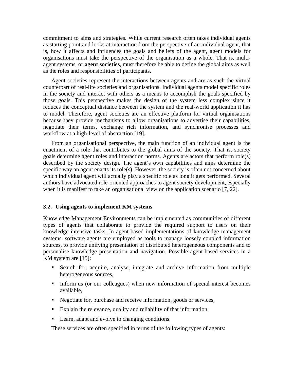commitment to aims and strategies. While current research often takes individual agents as starting point and looks at interaction from the perspective of an individual agent, that is, how it affects and influences the goals and beliefs of the agent, agent models for organisations must take the perspective of the organisation as a whole. That is, multiagent systems, or **agent societies**, must therefore be able to define the global aims as well as the roles and responsibilities of participants.

Agent societies represent the interactions between agents and are as such the virtual counterpart of real-life societies and organisations. Individual agents model specific roles in the society and interact with others as a means to accomplish the goals specified by those goals. This perspective makes the design of the system less complex since it reduces the conceptual distance between the system and the real-world application it has to model. Therefore, agent societies are an effective platform for virtual organisations because they provide mechanisms to allow organisations to advertise their capabilities, negotiate their terms, exchange rich information, and synchronise processes and workflow at a high-level of abstraction [19].

From an organisational perspective, the main function of an individual agent is the enactment of a role that contributes to the global aims of the society. That is, society goals determine agent roles and interaction norms. Agents are actors that perform role(s) described by the society design. The agent's own capabilities and aims determine the specific way an agent enacts its role(s). However, the society is often not concerned about which individual agent will actually play a specific role as long it gets performed. Several authors have advocated role-oriented approaches to agent society development, especially when it is manifest to take an organisational view on the application scenario [7, 22].

#### **3.2. Using agents to implement KM systems**

Knowledge Management Environments can be implemented as communities of different types of agents that collaborate to provide the required support to users on their knowledge intensive tasks. In agent-based implementations of knowledge management systems, software agents are employed as tools to manage loosely coupled information sources, to provide unifying presentation of distributed heterogeneous components and to personalise knowledge presentation and navigation. Possible agent-based services in a KM system are [15]:

- Search for, acquire, analyse, integrate and archive information from multiple heterogeneous sources,
- Inform us (or our colleagues) when new information of special interest becomes available,
- Negotiate for, purchase and receive information, goods or services,
- Explain the relevance, quality and reliability of that information,
- Learn, adapt and evolve to changing conditions.

These services are often specified in terms of the following types of agents: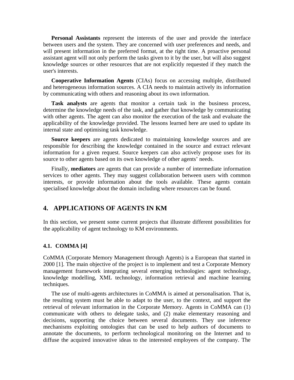**Personal Assistants** represent the interests of the user and provide the interface between users and the system. They are concerned with user preferences and needs, and will present information in the preferred format, at the right time. A proactive personal assistant agent will not only perform the tasks given to it by the user, but will also suggest knowledge sources or other resources that are not explicitly requested if they match the user's interests.

**Cooperative Information Agents** (CIAs) focus on accessing multiple, distributed and heterogeneous information sources. A CIA needs to maintain actively its information by communicating with others and reasoning about its own information.

**Task analysts** are agents that monitor a certain task in the business process, determine the knowledge needs of the task, and gather that knowledge by communicating with other agents. The agent can also monitor the execution of the task and evaluate the applicability of the knowledge provided. The lessons learned here are used to update its internal state and optimising task knowledge.

**Source keepers** are agents dedicated to maintaining knowledge sources and are responsible for describing the knowledge contained in the source and extract relevant information for a given request. Source keepers can also actively propose uses for its source to other agents based on its own knowledge of other agents' needs.

Finally, **mediators** are agents that can provide a number of intermediate information services to other agents. They may suggest collaboration between users with common interests, or provide information about the tools available. These agents contain specialised knowledge about the domain including where resources can be found.

#### **4. APPLICATIONS OF AGENTS IN KM**

In this section, we present some current projects that illustrate different possibilities for the applicability of agent technology to KM environments.

#### **4.1. COMMA [4]**

CoMMA (Corporate Memory Management through Agents) is a European that started in 2000 [1]. The main objective of the project is to implement and test a Corporate Memory management framework integrating several emerging technologies: agent technology, knowledge modelling, XML technology, information retrieval and machine learning techniques.

The use of multi-agents architectures in CoMMA is aimed at personalisation. That is, the resulting system must be able to adapt to the user, to the context, and support the retrieval of relevant information in the Corporate Memory. Agents in CoMMA can (1) communicate with others to delegate tasks, and (2) make elementary reasoning and decisions, supporting the choice between several documents. They use inference mechanisms exploiting ontologies that can be used to help authors of documents to annotate the documents, to perform technological monitoring on the Internet and to diffuse the acquired innovative ideas to the interested employees of the company. The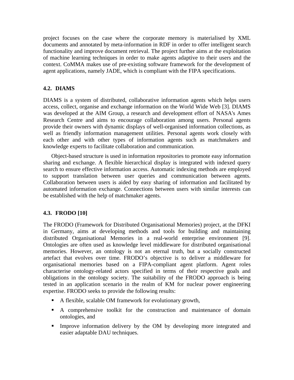project focuses on the case where the corporate memory is materialised by XML documents and annotated by meta-information in RDF in order to offer intelligent search functionality and improve document retrieval. The project further aims at the exploitation of machine learning techniques in order to make agents adaptive to their users and the context. CoMMA makes use of pre-existing software framework for the development of agent applications, namely JADE, which is compliant with the FIPA specifications.

#### **4.2. DIAMS**

DIAMS is a system of distributed, collaborative information agents which helps users access, collect, organise and exchange information on the World Wide Web [3]. DIAMS was developed at the AIM Group, a research and development effort of NASA's Ames Research Centre and aims to encourage collaboration among users. Personal agents provide their owners with dynamic displays of well-organised information collections, as well as friendly information management utilities. Personal agents work closely with each other and with other types of information agents such as matchmakers and knowledge experts to facilitate collaboration and communication.

Object-based structure is used in information repositories to promote easy information sharing and exchange. A flexible hierarchical display is integrated with indexed query search to ensure effective information access. Automatic indexing methods are employed to support translation between user queries and communication between agents. Collaboration between users is aided by easy sharing of information and facilitated by automated information exchange. Connections between users with similar interests can be established with the help of matchmaker agents.

## **4.3. FRODO [10]**

The FRODO (Framework for Distributed Organisational Memories) project, at the DFKI in Germany, aims at developing methods and tools for building and maintaining distributed Organisational Memories in a real-world enterprise environment [9]. Ontologies are often used as knowledge level middleware for distributed organisational memories. However, an ontology is not an eternal truth, but a socially constructed artefact that evolves over time. FRODO's objective is to deliver a middleware for organisational memories based on a FIPA-compliant agent platform. Agent roles characterise ontology-related actors specified in terms of their respective goals and obligations in the ontology society. The suitability of the FRODO approach is being tested in an application scenario in the realm of KM for nuclear power engineering expertise. FRODO seeks to provide the following results:

- A flexible, scalable OM framework for evolutionary growth,
- A comprehensive toolkit for the construction and maintenance of domain ontologies, and
- Improve information delivery by the OM by developing more integrated and easier adaptable DAU techniques.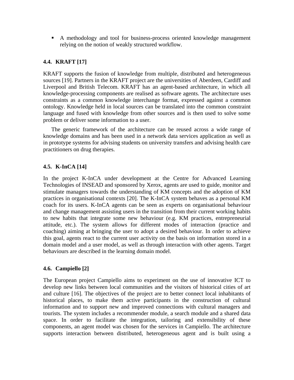A methodology and tool for business-process oriented knowledge management relying on the notion of weakly structured workflow.

## **4.4. KRAFT [17]**

KRAFT supports the fusion of knowledge from multiple, distributed and heterogeneous sources [19]. Partners in the KRAFT project are the universities of Aberdeen, Cardiff and Liverpool and British Telecom. KRAFT has an agent-based architecture, in which all knowledge-processing components are realised as software agents. The architecture uses constraints as a common knowledge interchange format, expressed against a common ontology. Knowledge held in local sources can be translated into the common constraint language and fused with knowledge from other sources and is then used to solve some problem or deliver some information to a user.

The generic framework of the architecture can be reused across a wide range of knowledge domains and has been used in a network data services application as well as in prototype systems for advising students on university transfers and advising health care practitioners on drug therapies.

## **4.5. K-InCA [14]**

In the project K-InCA under development at the Centre for Advanced Learning Technologies of INSEAD and sponsored by Xerox, agents are used to guide, monitor and stimulate managers towards the understanding of KM concepts and the adoption of KM practices in organisational contexts [20]. The K-InCA system behaves as a personal KM coach for its users. K-InCA agents can be seen as experts on organisational behaviour and change management assisting users in the transition from their current working habits to new habits that integrate some new behaviour (e.g. KM practices, entrepreneurial attitude, etc.). The system allows for different modes of interaction (practice and coaching) aiming at bringing the user to adopt a desired behaviour. In order to achieve this goal, agents react to the current user activity on the basis on information stored in a domain model and a user model, as well as through interaction with other agents. Target behaviours are described in the learning domain model.

## **4.6. Campiello [2]**

The European project Campiello aims to experiment on the use of innovative ICT to develop new links between local communities and the visitors of historical cities of art and culture [16]. The objectives of the project are to better connect local inhabitants of historical places, to make them active participants in the construction of cultural information and to support new and improved connections with cultural managers and tourists. The system includes a recommender module, a search module and a shared data space. In order to facilitate the integration, tailoring and extensibility of these components, an agent model was chosen for the services in Campiello. The architecture supports interaction between distributed, heterogeneous agent and is built using a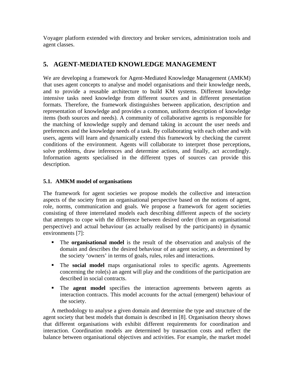Voyager platform extended with directory and broker services, administration tools and agent classes.

# **5. AGENT-MEDIATED KNOWLEDGE MANAGEMENT**

We are developing a framework for Agent-Mediated Knowledge Management (AMKM) that uses agent concepts to analyse and model organisations and their knowledge needs, and to provide a reusable architecture to build KM systems. Different knowledge intensive tasks need knowledge from different sources and in different presentation formats. Therefore, the framework distinguishes between application, description and representation of knowledge and provides a common, uniform description of knowledge items (both sources and needs). A community of collaborative agents is responsible for the matching of knowledge supply and demand taking in account the user needs and preferences and the knowledge needs of a task. By collaborating with each other and with users, agents will learn and dynamically extend this framework by checking the current conditions of the environment. Agents will collaborate to interpret those perceptions, solve problems, draw inferences and determine actions, and finally, act accordingly. Information agents specialised in the different types of sources can provide this description.

## **5.1. AMKM model of organisations**

The framework for agent societies we propose models the collective and interaction aspects of the society from an organisational perspective based on the notions of agent, role, norms, communication and goals. We propose a framework for agent societies consisting of three interrelated models each describing different aspects of the society that attempts to cope with the difference between desired order (from an organisational perspective) and actual behaviour (as actually realised by the participants) in dynamic environments [7]:

- The **organisational model** is the result of the observation and analysis of the domain and describes the desired behaviour of an agent society, as determined by the society 'owners' in terms of goals, rules, roles and interactions.
- The **social model** maps organisational roles to specific agents. Agreements concerning the role(s) an agent will play and the conditions of the participation are described in social contracts.
- The **agent model** specifies the interaction agreements between agents as interaction contracts. This model accounts for the actual (emergent) behaviour of the society.

A methodology to analyse a given domain and determine the type and structure of the agent society that best models that domain is described in [8]. Organisation theory shows that different organisations with exhibit different requirements for coordination and interaction. Coordination models are determined by transaction costs and reflect the balance between organisational objectives and activities. For example, the market model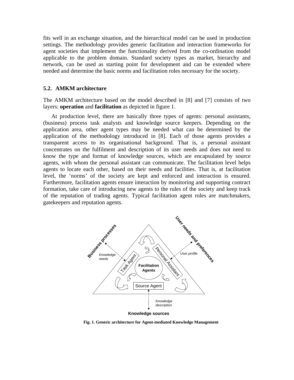fits well in an exchange situation, and the hierarchical model can be used in production settings. The methodology provides generic facilitation and interaction frameworks for agent societies that implement the functionality derived from the co-ordination model applicable to the problem domain. Standard society types as market, hierarchy and network, can be used as starting point for development and can be extended where needed and determine the basic norms and facilitation roles necessary for the society.

#### **5.2. AMKM architecture**

The AMKM architecture based on the model described in [8] and [7] consists of two layers: **operation** and **facilitation** as depicted in figure 1.

At production level, there are basically three types of agents: personal assistants, (business) process task analysts and knowledge source keepers. Depending on the application area, other agent types may be needed what can be determined by the application of the methodology introduced in [8]. Each of those agents provides a transparent access to its organisational background. That is, a personal assistant concentrates on the fulfilment and description of its user needs and does not need to know the type and format of knowledge sources, which are encapsulated by source agents, with whom the personal assistant can communicate. The facilitation level helps agents to locate each other, based on their needs and facilities. That is, at facilitation level, the 'norms' of the society are kept and enforced and interaction is ensured. Furthermore, facilitation agents ensure interaction by monitoring and supporting contract formation, take care of introducing new agents to the rules of the society and keep track of the reputation of trading agents. Typical facilitation agent roles are matchmakers, gatekeepers and reputation agents.



**Fig. 1. Generic architecture for Agent-mediated Knowledge Management**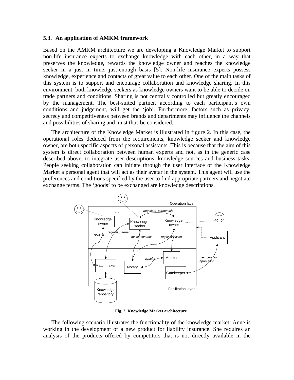#### **5.3. An application of AMKM framework**

Based on the AMKM architecture we are developing a Knowledge Market to support non-life insurance experts to exchange knowledge with each other, in a way that preserves the knowledge, rewards the knowledge owner and reaches the knowledge seeker in a just in time, just-enough basis [5]. Non-life insurance experts possess knowledge, experience and contacts of great value to each other. One of the main tasks of this system is to support and encourage collaboration and knowledge sharing. In this environment, both knowledge seekers as knowledge owners want to be able to decide on trade partners and conditions. Sharing is not centrally controlled but greatly encouraged by the management. The best-suited partner, according to each participant's own conditions and judgement, will get the 'job'. Furthermore, factors such as privacy, secrecy and competitiveness between brands and departments may influence the channels and possibilities of sharing and must thus be considered.

The architecture of the Knowledge Market is illustrated in figure 2. In this case, the operational roles deduced from the requirements, knowledge seeker and knowledge owner, are both specific aspects of personal assistants. This is because that the aim of this system is direct collaboration between human experts and not, as in the generic case described above, to integrate user descriptions, knowledge sources and business tasks. People seeking collaboration can initiate through the user interface of the Knowledge Market a personal agent that will act as their avatar in the system. This agent will use the preferences and conditions specified by the user to find appropriate partners and negotiate exchange terms. The 'goods' to be exchanged are knowledge descriptions.



**Fig. 2. Knowledge Market architecture** 

The following scenario illustrates the functionality of the knowledge market: Anne is working in the development of a new product for liability insurance. She requires an analysis of the products offered by competitors that is not directly available in the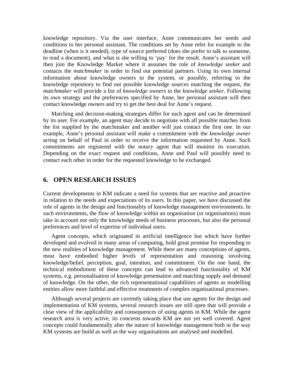knowledge repository. Via the user interface, Anne communicates her needs and conditions to her personal assistant. The conditions set by Anne refer for example to the deadline (when is it needed), type of source preferred (does she prefer to talk to someone, to read a document), and what is she willing to 'pay' for the result. Anne's assistant will then join the Knowledge Market where it assumes the role of *knowledge seeker* and contacts the *matchmaker* in order to find out potential partners. Using its own internal information about knowledge owners in the system, or possibly, referring to the knowledge repository to find out possible knowledge sources matching the request, the *matchmaker* will provide a list of *knowledge owners* to the *knowledge seeker.* Following its own strategy and the preferences specified by Anne, her personal assistant will then contact knowledge owners and try to get the best deal for Anne's request.

Matching and decision-making strategies differ for each agent and can be determined by its user. For example, an agent may decide to negotiate with all possible matches from the list supplied by the matchmaker and another will just contact the first one. In our example, Anne's personal assistant will make a commitment with the *knowledge owner* acting on behalf of Paul in order to receive the information requested by Anne. Such commitments are registered with the *notary* agent that will monitor its execution. Depending on the exact request and conditions, Anne and Paul will possibly need to contact each other in order for the requested knowledge to be exchanged.

#### **6. OPEN RESEARCH ISSUES**

Current developments in KM indicate a need for systems that are reactive and proactive in relation to the needs and expectations of its users. In this paper, we have discussed the role of agents in the design and functionality of knowledge management environments. In such environments, the flow of knowledge within an organisation (or organisations) must take in account not only the knowledge needs of business processes, but also the personal preferences and level of expertise of individual users.

Agent concepts, which originated in artificial intelligence but which have further developed and evolved in many areas of computing, hold great promise for responding to the new realities of knowledge management. While there are many conceptions of agents, most have embodied higher levels of representation and reasoning involving knowledge/belief, perception, goal, intention, and commitment. On the one hand, the technical embodiment of these concepts can lead to advanced functionality of KM systems, e.g. personalisation of knowledge presentation and matching supply and demand of knowledge. On the other, the rich representational capabilities of agents as modelling entities allow more faithful and effective treatments of complex organisational processes.

Although several projects are currently taking place that use agents for the design and implementation of KM systems, several research issues are still open that will provide a clear view of the applicability and consequences of using agents in KM. While the agent research area is very active, its concerns towards KM are not yet well covered. Agent concepts could fundamentally alter the nature of knowledge management both in the way KM systems are build as well as the way organisations are analysed and modelled.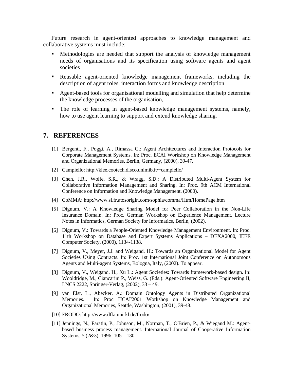Future research in agent-oriented approaches to knowledge management and collaborative systems must include:

- Methodologies are needed that support the analysis of knowledge management needs of organisations and its specification using software agents and agent societies
- Reusable agent-oriented knowledge management frameworks, including the description of agent roles, interaction forms and knowledge description
- Agent-based tools for organisational modelling and simulation that help determine the knowledge processes of the organisation,
- The role of learning in agent-based knowledge management systems, namely, how to use agent learning to support and extend knowledge sharing.

#### **7. REFERENCES**

- [1] Bergenti, F., Poggi, A., Rimassa G.: Agent Architectures and Interaction Protocols for Corporate Management Systems. In: Proc. ECAI Workshop on Knowledge Management and Organizational Memories, Berlin, Germany, (2000), 39-47.
- [2] Campiello: <http://klee.cootech.disco.unimib.it/~campiello/>
- [3] Chen, J.R., Wolfe, S.R., & Wragg, S.D.: A Distributed Multi-Agent System for Collaborative Information Management and Sharing. In: Proc. 9th ACM International Conference on Information and Knowledge Management, (2000).
- [4] CoMMA: <http://www.si.fr.atosorigin.com/sophia/comma/Htm/HomePage.htm>
- [5] Dignum, V.: A Knowledge Sharing Model for Peer Collaboration in the Non-Life Insurance Domain. In: Proc. German Workshop on Experience Management, Lecture Notes in Informatics, German Society for Informatics, Berlin, (2002).
- [6] Dignum, V.: Towards a People-Oriented Knowledge Management Environment. In: Proc. 11th Workshop on Database and Expert Systems Applications – DEXA2000, IEEE Computer Society, (2000), 1134-1138.
- [7] Dignum, V., Meyer, J.J. and Weigand, H.: Towards an Organizational Model for Agent Societies Using Contracts. In: Proc. 1st International Joint Conference on Autonomous Agents and Multi-agent Systems, Bologna, Italy, (2002). To appear.
- [8] Dignum, V., Weigand, H., Xu L.: Agent Societies: Towards framework-based design. In: Wooldridge, M., Ciancarini P., Weiss, G. (Eds.): Agent-Oriented Software Engineering II, LNCS 2222, Springer-Verlag, (2002), 33 – 49.
- [9] van Elst, L., Abecker, A.: Domain Ontology Agents in Distributed Organizational Memories. In: Proc IJCAI'2001 Workshop on Knowledge Management and Organizational Memories, Seattle, Washington, (2001), 39-48.
- [10] FRODO: <http://www.dfki.uni-kl.de/frodo/>
- [11] Jennings, N., Faratin, P., Johnson, M., Norman, T., O'Brien, P., & Wiegand M.: Agentbased business process management. International Journal of Cooperative Information Systems, 5 (2&3), 1996, 105 – 130.